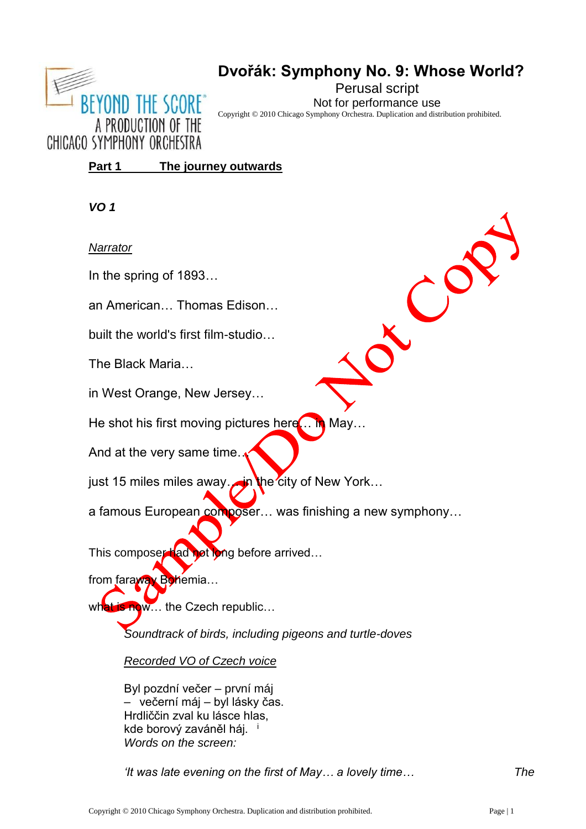

# **Dvořák: Symphony No. 9: Whose World? Perusal script** Not for performance use

CO

Copyright © 2010 Chicago Symphony Orchestra. Duplication and distribution prohibited.

**Part 1 The journey outwards**

*VO 1*

## *Narrator*

**In the spring of 1893…** 

**an American… Thomas Edison…** 

## **built the world's first film-studio…**

**The Black Maria…**

**in West Orange, New Jersey…**

**He shot his first moving pictures here… in May…** 

**And at the very same time…** 

**just 15 miles miles away… in the city of New York…** 

**a famous European composer… was finishing a new symphony…** 

This composer had not long before arrived...

from faraway Bohemia...

what is now... the Czech republic...

*Soundtrack of birds, including pigeons and turtle-doves*

*Recorded VO of Czech voice*

Byl pozdní večer – první máj – večerní máj – byl lásky čas. Hrdliččin zval ku lásce hlas, kde borový zaváněl háj. i *Words on the screen:*

*'It was late evening on the first of May… a lovely time… The*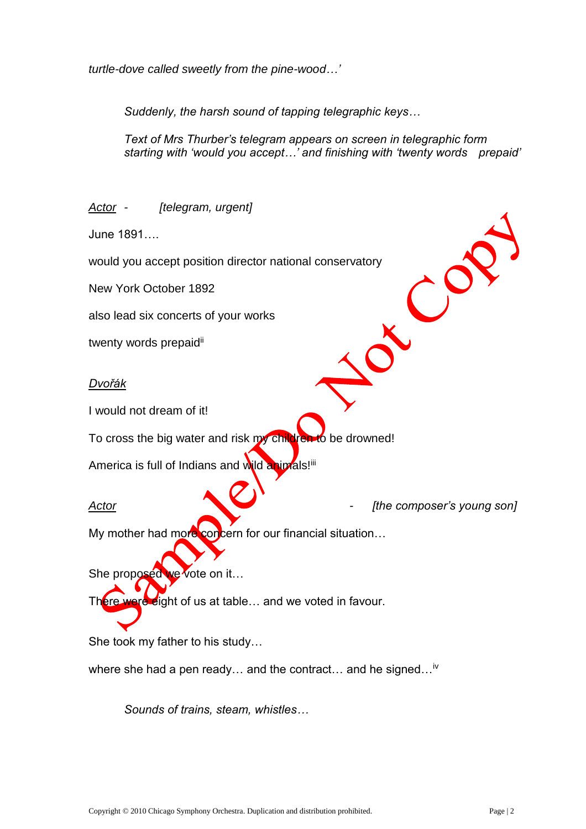*turtle-dove called sweetly from the pine-wood…'*

*Suddenly, the harsh sound of tapping telegraphic keys…*

*Text of Mrs Thurber's telegram appears on screen in telegraphic form starting with 'would you accept…' and finishing with 'twenty words prepaid'*

*Actor - [telegram, urgent]* June 1891….  $\mathcal{C}^{\mathcal{C}}$ would you accept position director national conservatory New York October 1892 also lead six concerts of your works twenty words prepaid<sup>ii</sup> *Dvořák* I would not dream of it! To cross the big water and risk my children to be drowned! America is full of Indians and wild animals!ill *Actor - [the composer's young son]* My mother had more concern for our financial situation... She proposed we vote on it... There were eight of us at table... and we voted in favour. She took my father to his study…

where she had a pen ready... and the contract... and he signed...<sup>iv</sup>

*Sounds of trains, steam, whistles…*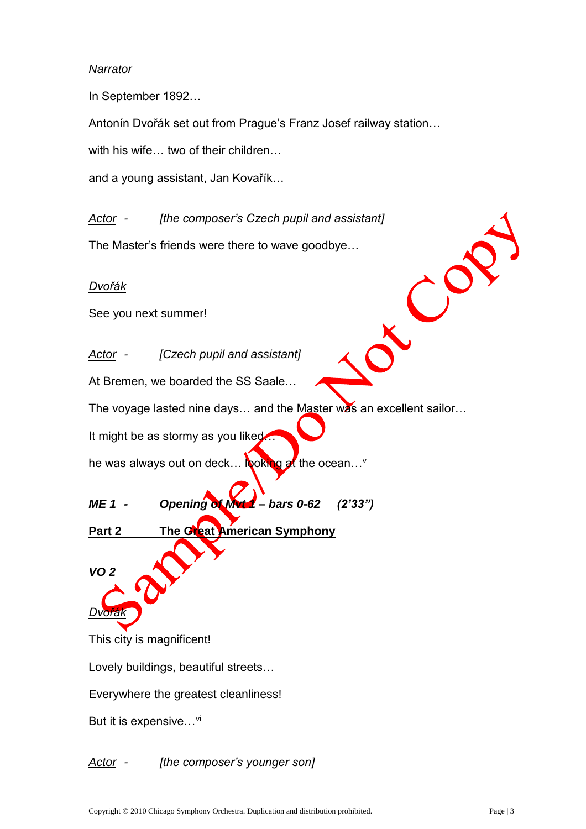## *Narrator*

In September 1892…

Antonín Dvořák set out from Prague's Franz Josef railway station…

with his wife… two of their children…

and a young assistant, Jan Kovařík…

*Actor - [the composer's Czech pupil and assistant]*

The Master's friends were there to wave goodbye…

#### *Dvořák*

See you next summer!

*Actor - [Czech pupil and assistant]*

At Bremen, we boarded the SS Saale…

The voyage lasted nine days... and the Master was an excellent sailor...

It might be as stormy as you liked

he was always out on deck... looking at the ocean...  $\vee$ 

*ME 1 - Opening of Mvt 1 – bars 0-62 (2'33")*

**Part 2 The Great American Symphony** 

*VO 2*

*Dvořák*

This city is magnificent!

Lovely buildings, beautiful streets…

Everywhere the greatest cleanliness!

But it is expensive...<sup>vi</sup>

## *Actor - [the composer's younger son]*

 $\mathcal{C}^{\mathcal{C}}$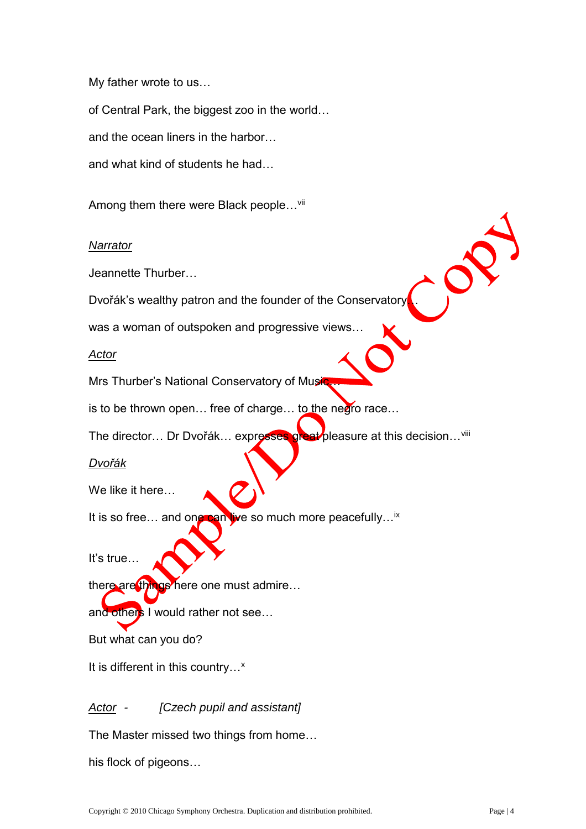My father wrote to us…

of Central Park, the biggest zoo in the world…

and the ocean liners in the harbor…

and what kind of students he had…

Among them there were Black people...<sup>vii</sup>

#### *Narrator*

Jeannette Thurber…

Dvořák's wealthy patron and the founder of the Conservatory.

was a woman of outspoken and progressive views…

*Actor*

Mrs Thurber's National Conservatory of Music.

is to be thrown open… free of charge… to the negro race…

The director... Dr Dvořák... expresses great pleasure at this decision...<sup>viii</sup>

#### *Dvořák*

We like it here…

It is so free... and one can live so much more peacefully... $\dot{x}$ 

It's true…

there are things here one must admire...

and others I would rather not see...

But what can you do?

It is different in this country...<sup>x</sup>

*Actor - [Czech pupil and assistant]*

The Master missed two things from home…

his flock of pigeons…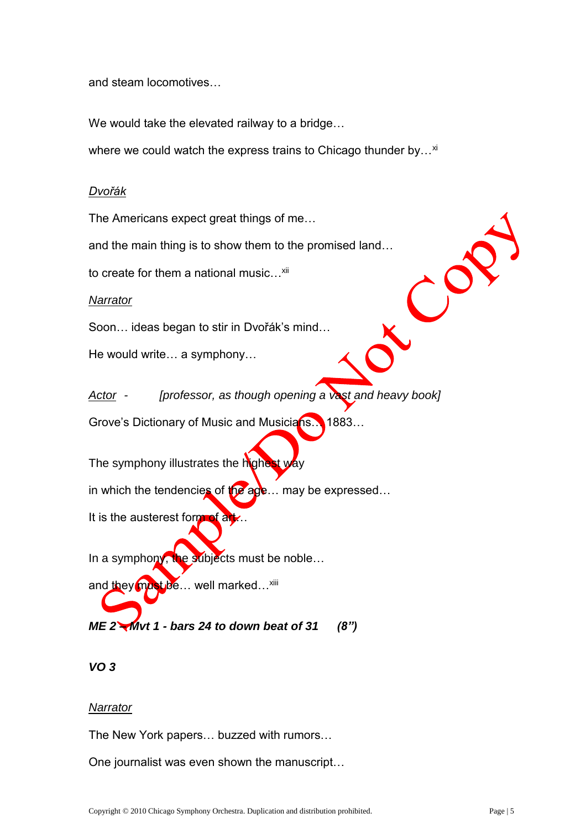and steam locomotives…

We would take the elevated railway to a bridge…

where we could watch the express trains to Chicago thunder by...<sup>xi</sup>

## *Dvořák*

The Americans expect great things of me…

and the main thing is to show them to the promised land…

to create for them a national music...<sup>xii</sup>

*Narrator*

Soon… ideas began to stir in Dvořák's mind…

He would write… a symphony…

*Actor - [professor, as though opening a vast and heavy book]*

Grove's Dictionary of Music and Musicians... 1883...

The symphony illustrates the highest way

in which the tendencies of the age... may be expressed...

It is the austerest form of  $\frac{dy}{dx}$ .

In a symphony, the subjects must be noble...

and they must be... well marked...<sup>xiii</sup>

*ME 2 – Mvt 1 - bars 24 to down beat of 31 (8")*

## *VO 3*

#### *Narrator*

The New York papers… buzzed with rumors…

One journalist was even shown the manuscript…

 $\mathcal{C}^{\mathcal{C}}$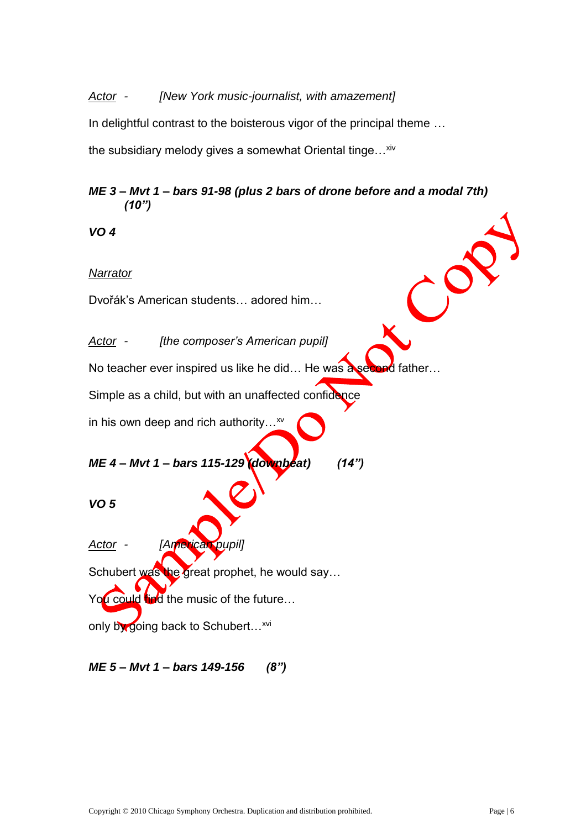## *Actor - [New York music-journalist, with amazement]*

In delightful contrast to the boisterous vigor of the principal theme …

the subsidiary melody gives a somewhat Oriental tinge...<sup>xiv</sup>

## *ME 3 – Mvt 1 – bars 91-98 (plus 2 bars of drone before and a modal 7th) (10")*

 $\left( \begin{array}{c} \lambda \\ \lambda \end{array} \right)$ 

*VO 4*

## *Narrator*

Dvořák's American students… adored him…

*Actor - [the composer's American pupil]*

No teacher ever inspired us like he did... He was a second father...

Simple as a child, but with an unaffected confidence

in his own deep and rich authority...<sup>xv</sup>

*ME 4 – Mvt 1 – bars 115-129 (downbeat) (14")*

*VO 5*

*Actor - [American pupil]*

Schubert was the great prophet, he would say...

You could find the music of the future...

only by going back to Schubert...<sup>xvi</sup>

*ME 5 – Mvt 1 – bars 149-156 (8")*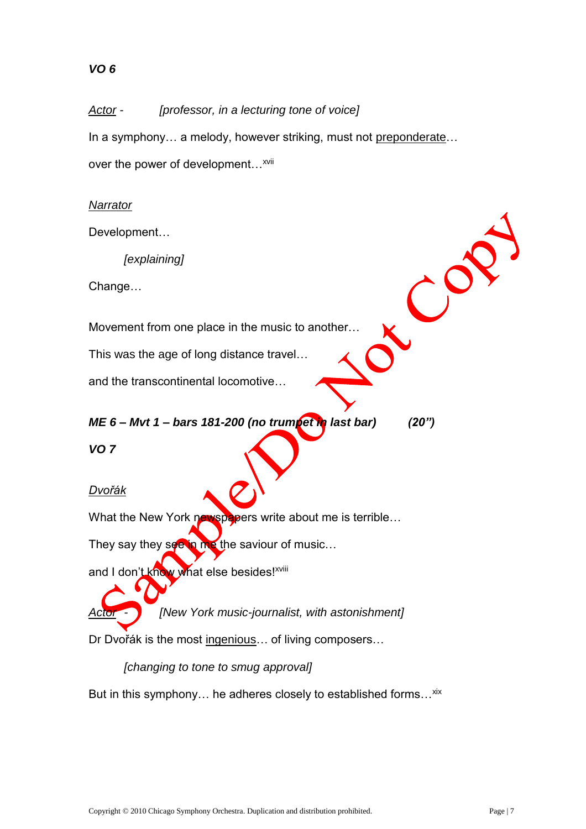# *VO 6*

*Actor - [professor, in a lecturing tone of voice]* In a symphony... a melody, however striking, must not preponderate... over the power of development...<sup>xvii</sup>

## *Narrator*

Development…

*[explaining]*

Change…

Movement from one place in the music to another…

This was the age of long distance travel…

and the transcontinental locomotive…

# *ME 6 – Mvt 1 – bars 181-200 (no trumpet in last bar) (20")*

*VO 7*

*Dvořák*

What the New York newspapers write about me is terrible...

They say they see in me the saviour of music...

and I don't know what else besides!<sup>xviii</sup>

*Actor - [New York music-journalist, with astonishment]*

Dr Dvořák is the most ingenious… of living composers…

*[changing to tone to smug approval]*

But in this symphony... he adheres closely to established forms... xix

 $\mathcal{C}^{\mathcal{O}}$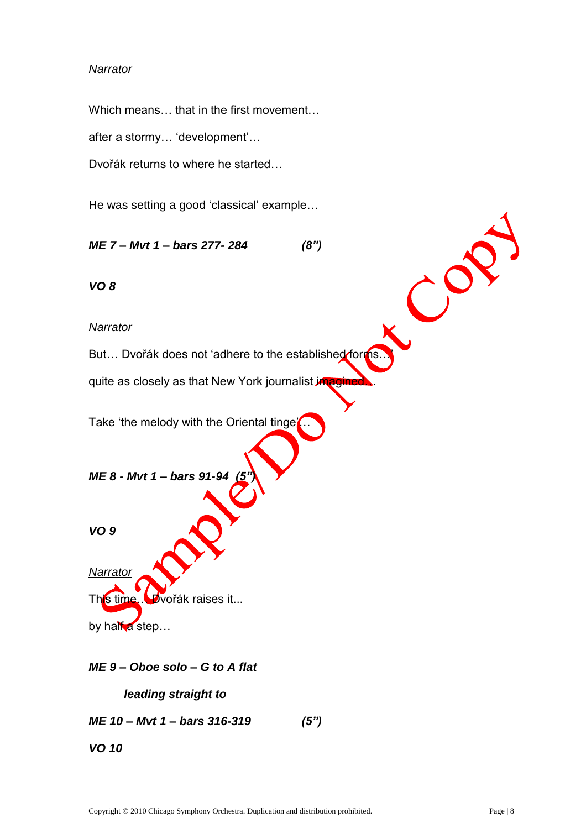## *Narrator*

Which means… that in the first movement…

after a stormy… 'development'…

Dvořák returns to where he started…

He was setting a good 'classical' example…

*ME 7 – Mvt 1 – bars 277- 284 (8")*

*VO 8*

#### *Narrator*

But... Dvořák does not 'adhere to the established forms.

quite as closely as that New York journalist *imagined*.

Take 'the melody with the Oriental tinge'

*ME 8 - Mvt 1 – bars 91-94* 

*VO 9*

*Narrator* This time… Dvořák raises it... by half a step...

*ME 9 – Oboe solo – G to A flat*

*leading straight to*

*ME 10 – Mvt 1 – bars 316-319 (5")*

*VO 10*

CO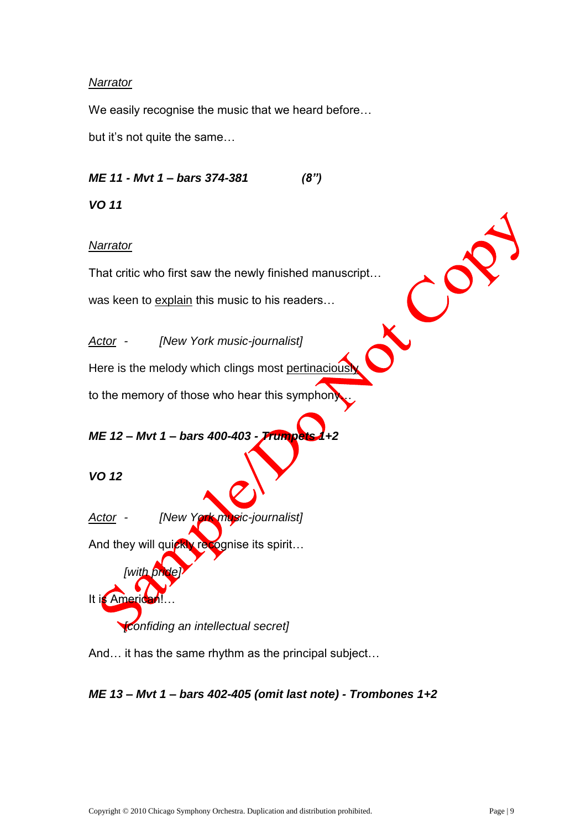## *Narrator*

We easily recognise the music that we heard before…

but it's not quite the same…

*ME 11 - Mvt 1 – bars 374-381 (8")*

*VO 11* 

## *Narrator*

That critic who first saw the newly finished manuscript… was keen to explain this music to his readers...

*Actor - [New York music-journalist]*

Here is the melody which clings most pertinaciously

to the memory of those who hear this symphony

# *ME 12 – Mvt 1 – bars 400-403 - Trumpets 1+2*

*VO 12*

*Actor - [New York music-journalist]*

And they will quickly recognise its spirit...

*[with pride]* It is American *[confiding an intellectual secret]*

And… it has the same rhythm as the principal subject…



CO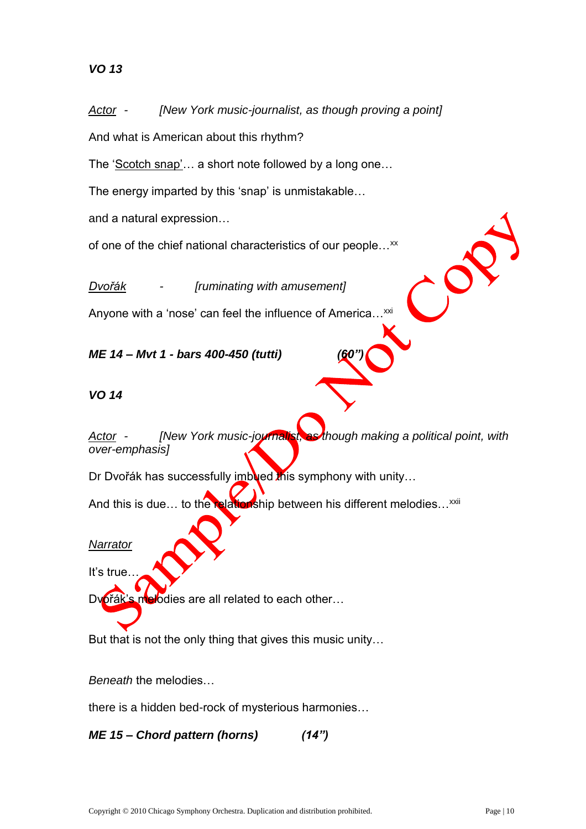*Actor - [New York music-journalist, as though proving a point]*

And what is American about this rhythm?

The 'Scotch snap'... a short note followed by a long one...

The energy imparted by this 'snap' is unmistakable…

and a natural expression…

of one of the chief national characteristics of our people...<sup>xx</sup>

*Dvořák - [ruminating with amusement]*

Anyone with a 'nose' can feel the influence of America...<sup>xxi</sup>

*ME 14 – Mvt 1 - bars 400-450 (tutti) (60")*

## *VO 14*

*Actor - [New York music-journalist, as though making a political point, with over-emphasis]*

Dr Dvořák has successfully imbued this symphony with unity...

And this is due... to the relationship between his different melodies...<sup>xxii</sup>

#### *Narrator*

It's true…

Dvořák's melodies are all related to each other...

But that is not the only thing that gives this music unity…

*Beneath* the melodies…

there is a hidden bed-rock of mysterious harmonies…

*ME 15 – Chord pattern (horns) (14")*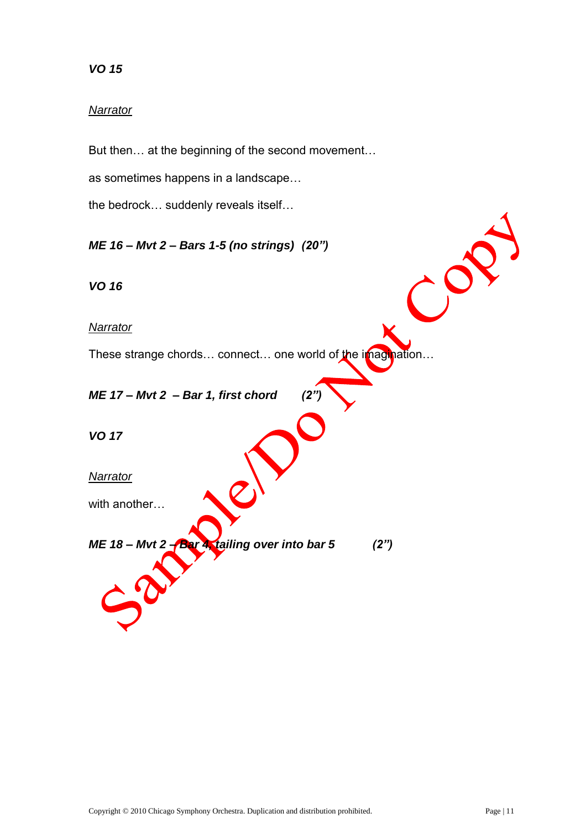# *VO 15*

## *Narrator*

But then… at the beginning of the second movement…

as sometimes happens in a landscape…

the bedrock… suddenly reveals itself…

*ME 16 – Mvt 2 – Bars 1-5 (no strings) (20")*

*VO 16*

*Narrator*

These strange chords... connect... one world of the imagination...

*ME 17 – Mvt 2 – Bar 1, first chord (2")* 

*VO 17*

*Narrator*

with another…

*ME 18 – Mvt 2 – Bar 4, tailing over into bar 5 (2")*

 $\mathcal{C}^{\mathbf{C}}$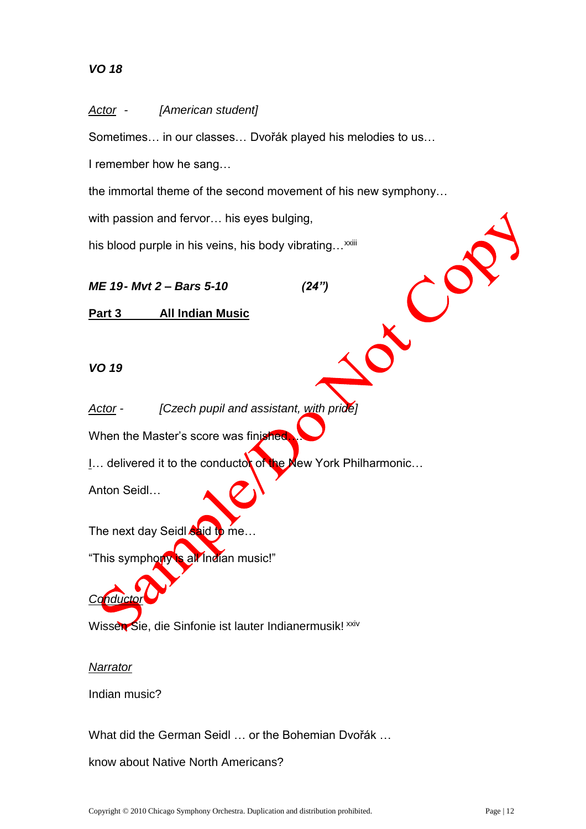# *VO 18*

#### *Actor - [American student]*

Sometimes… in our classes… Dvořák played his melodies to us…

I remember how he sang…

the immortal theme of the second movement of his new symphony…

with passion and fervor… his eyes bulging,

his blood purple in his veins, his body vibrating...<sup>xxiii</sup>

*ME 19- Mvt 2 – Bars 5-10 (24")*

 $\mathcal{C}^{\mathcal{C}}$ 

**Part 3 All Indian Music**

*VO 19* 

*Actor - [Czech pupil and assistant, with pride]*

When the Master's score was finished

I... delivered it to the conductor of the New York Philharmonic...

Anton Seidl…

The next day Seidl  $\sin$  to me...

"This symphony is all Indian music!"

Wissen Sie, die Sinfonie ist lauter Indianermusik! xxiv

#### *Narrator*

*Conductor*

Indian music?

What did the German Seidl … or the Bohemian Dvořák …

know about Native North Americans?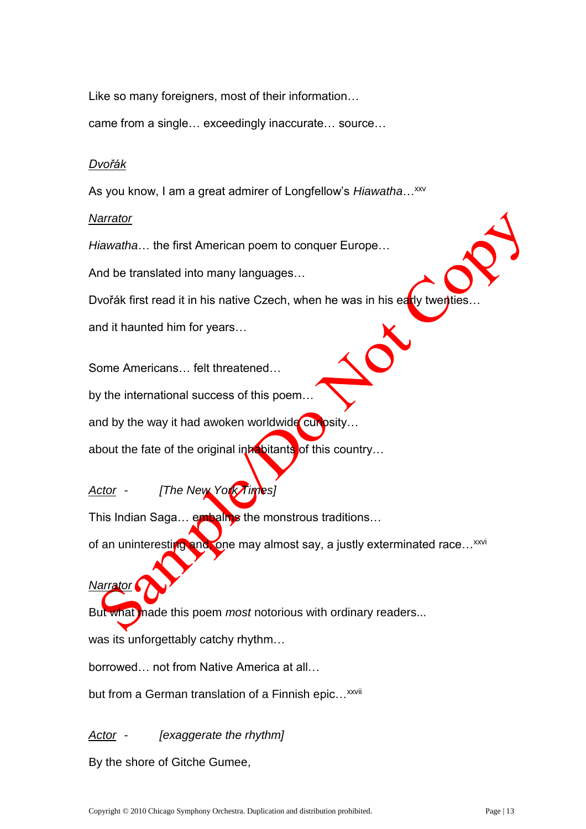Like so many foreigners, most of their information…

came from a single… exceedingly inaccurate… source…

#### *Dvořák*

As you know, I am a great admirer of Longfellow's *Hiawatha*...<sup>xxv</sup>

#### *Narrator*

*Narrator*

*Hiawatha*… the first American poem to conquer Europe…

And be translated into many languages…

Dvořák first read it in his native Czech, when he was in his early twentie

and it haunted him for years…

Some Americans… felt threatened…

by the international success of this poem…

and by the way it had awoken worldwide curiosity...

about the fate of the original inhabitants of this country...

*Actor - [The New York Times]*

This Indian Saga... embalms the monstrous traditions...

of an uninteresting and, one may almost say, a justly exterminated race...<sup>xxvi</sup>

But what made this poem *most* notorious with ordinary readers...

was its unforgettably catchy rhythm…

borrowed… not from Native America at all…

but from a German translation of a Finnish epic...<sup>xxvii</sup>

*Actor - [exaggerate the rhythm]*

By the shore of Gitche Gumee,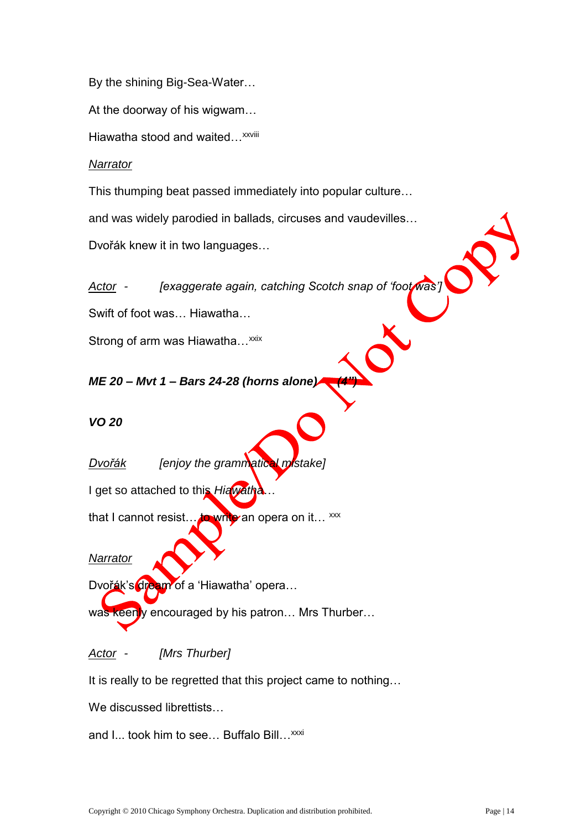By the shining Big-Sea-Water…

At the doorway of his wigwam…

Hiawatha stood and waited...<sup>xxviii</sup>

#### *Narrator*

This thumping beat passed immediately into popular culture…

and was widely parodied in ballads, circuses and vaudevilles…

Dvořák knew it in two languages…

*Actor - [exaggerate again, catching Scotch snap of 'foot was']*

Swift of foot was… Hiawatha…

Strong of arm was Hiawatha...<sup>xxix</sup>

## *ME 20 – Mvt 1 – Bars 24-28 (horns alone) (4")*

#### *VO 20*

*Dvořák [enjoy the grammatical mistake]*

I get so attached to this *Hiawatha*…

that I cannot resist... to write an opera on it...  $^{xxx}$ 

#### *Narrator*

Dvořák's dream of a 'Hiawatha' opera...

was keenly encouraged by his patron... Mrs Thurber...

*Actor - [Mrs Thurber]*

It is really to be regretted that this project came to nothing…

We discussed librettists...

and I... took him to see... Buffalo Bill... xxxi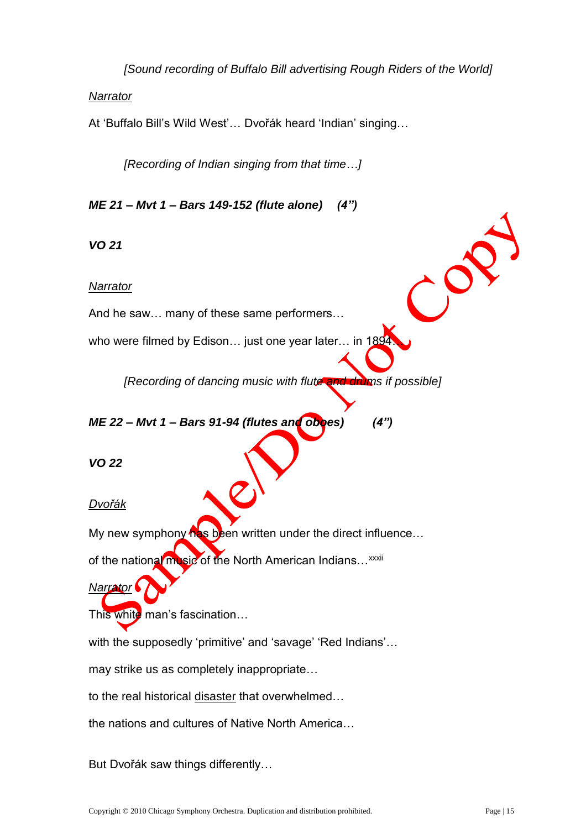*[Sound recording of Buffalo Bill advertising Rough Riders of the World]*

#### *Narrator*

At 'Buffalo Bill's Wild West'… Dvořák heard 'Indian' singing…

*[Recording of Indian singing from that time…]*

*ME 21 – Mvt 1 – Bars 149-152 (flute alone) (4")*

*VO 21* 

#### *Narrator*

And he saw… many of these same performers…

who were filmed by Edison... just one year later... in 1894

*[Recording of dancing music with flute and drums if possible]*

## *ME 22 – Mvt 1 – Bars 91-94 (flutes and oboes) (4")*

*VO 22* 

*Dvořák*

My new symphony has been written under the direct influence...

of the national music of the North American Indians... xxxii

# *Narrator*

This white man's fascination...

with the supposedly 'primitive' and 'savage' 'Red Indians'…

may strike us as completely inappropriate…

to the real historical disaster that overwhelmed…

the nations and cultures of Native North America…

But Dvořák saw things differently…

 $\mathcal{C}^{\mathcal{O}}$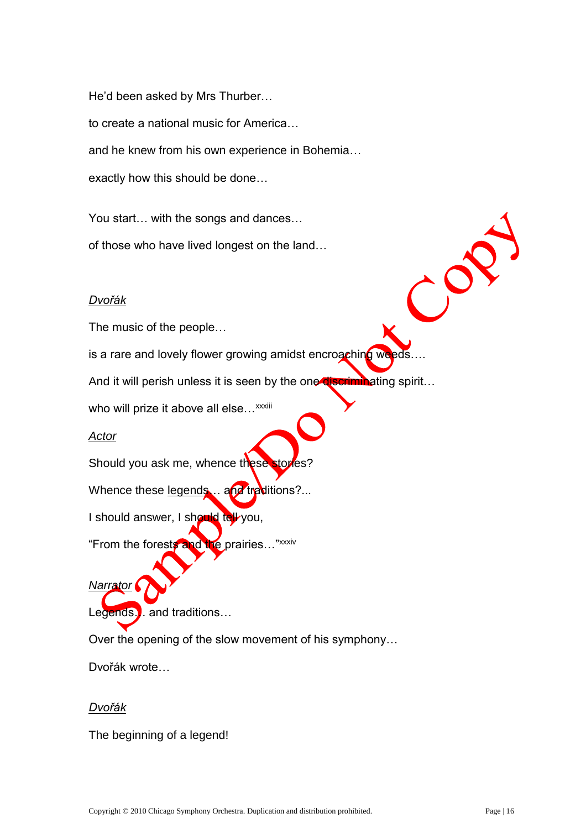He'd been asked by Mrs Thurber… to create a national music for America… and he knew from his own experience in Bohemia… exactly how this should be done…

You start… with the songs and dances… of those who have lived longest on the land…

#### *Dvořák*

The music of the people…

is a rare and lovely flower growing amidst encroaching weeds....

And it will perish unless it is seen by the one **discriminating spirit...** 

who will prize it above all else... xxxiii

#### *Actor*

Should you ask me, whence these stories?

Whence these legends ... and traditions?...

I should answer, I should tell you,

"From the forests and the prairies…"xxxiv

Legends… and traditions…

Over the opening of the slow movement of his symphony…

Dvořák wrote…

#### *Dvořák*

*Narrator*

The beginning of a legend!

 $\mathcal{C}^{\mathcal{O}}$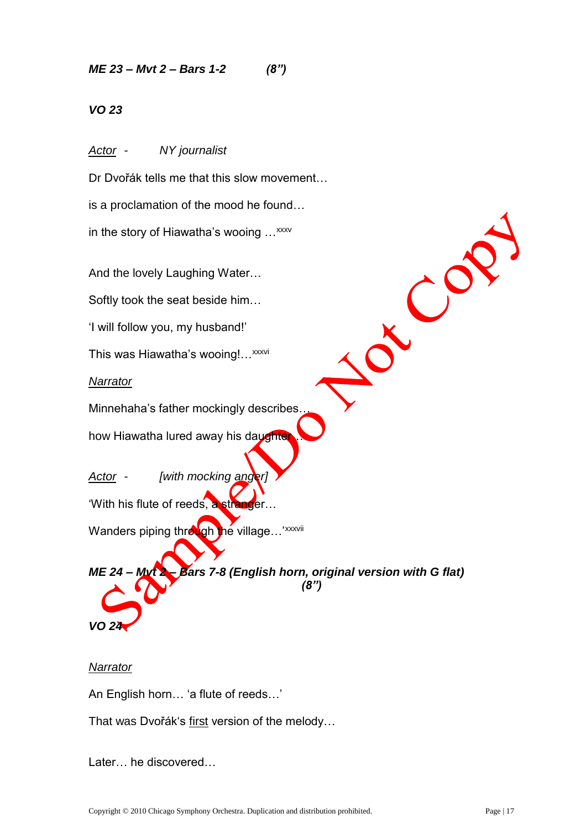*ME 23 – Mvt 2 – Bars 1-2 (8")*

*VO 23*

*Actor - NY journalist*

Dr Dvořák tells me that this slow movement…

is a proclamation of the mood he found…

in the story of Hiawatha's wooing ...<sup>xxxv</sup>

And the lovely Laughing Water…

Softly took the seat beside him…

'I will follow you, my husband!'

This was Hiawatha's wooing!... xxxvi

*Narrator*

Minnehaha's father mockingly describes…

how Hiawatha lured away his daughter

*Actor - [with mocking anger]*

'With his flute of reeds, a stranger…

Wanders piping through the village...<sup>'xxxvii</sup>

*ME 24 – Mvt 2 – Bars 7-8 (English horn, original version with G flat) (8")*

## *Narrator*

*VO 24*

An English horn… 'a flute of reeds…'

That was Dvořák's first version of the melody...

Later… he discovered…

J CO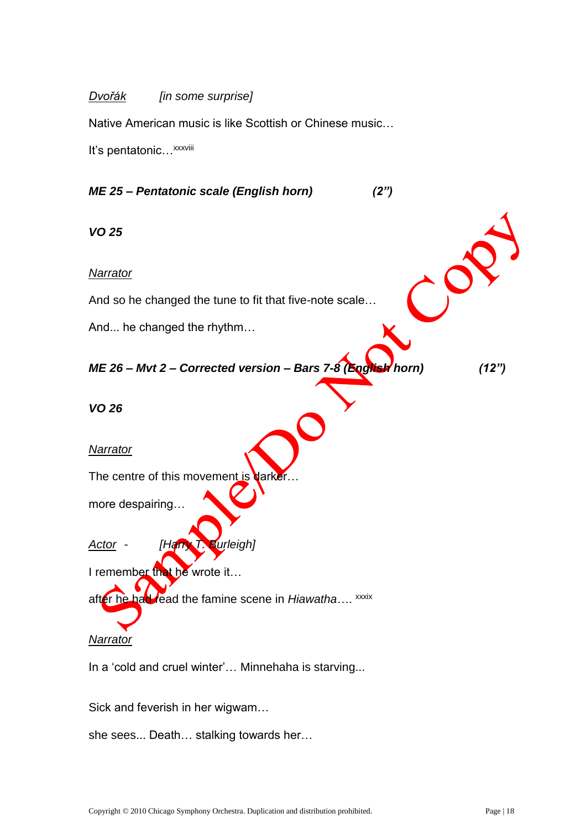#### *Dvořák [in some surprise]*

Native American music is like Scottish or Chinese music…

It's pentatonic... xxxviii

## *ME 25 – Pentatonic scale (English horn) (2")*

*VO 25*

#### *Narrator*

And so he changed the tune to fit that five-note scale…

And... he changed the rhythm…

# *ME 26 – Mvt 2 – Corrected version – Bars 7-8 (English horn) (12")*

*VO 26* 

#### *Narrator*

The centre of this movement is darker

more despairing…

# *Actor - [Harry T. Burleigh]*

I remember that he wrote it...

after he had read the famine scene in *Hiawatha*.... <sup>xxxix</sup>

#### *Narrator*

In a 'cold and cruel winter'... Minnehaha is starving...

Sick and feverish in her wigwam…

she sees... Death… stalking towards her…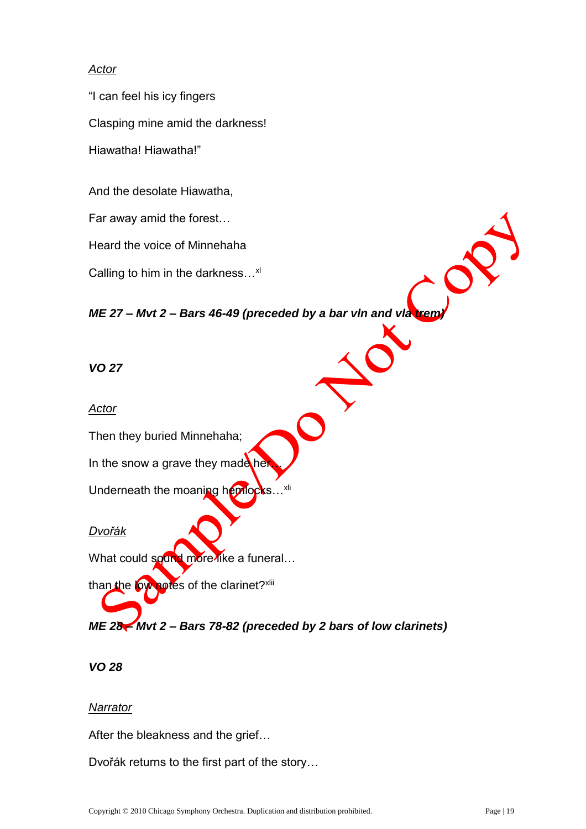## *Actor*

"I can feel his icy fingers Clasping mine amid the darkness! Hiawatha! Hiawatha!"

And the desolate Hiawatha,

Far away amid the forest…

Heard the voice of Minnehaha

Calling to him in the darkness...<sup>xl</sup>

*ME 27 – Mvt 2 – Bars 46-49 (preceded by a bar vln and vla trem)*

*VO 27* 

#### *Actor*

Then they buried Minnehaha;

In the snow a grave they made her

Underneath the moaning hemlocks...<sup>xli</sup>

#### *Dvořák*

What could sound more like a funeral...

than the low notes of the clarinet?xlii

*ME 28 – Mvt 2 – Bars 78-82 (preceded by 2 bars of low clarinets)* 

## *VO 28*

#### *Narrator*

After the bleakness and the grief…

Dvořák returns to the first part of the story…